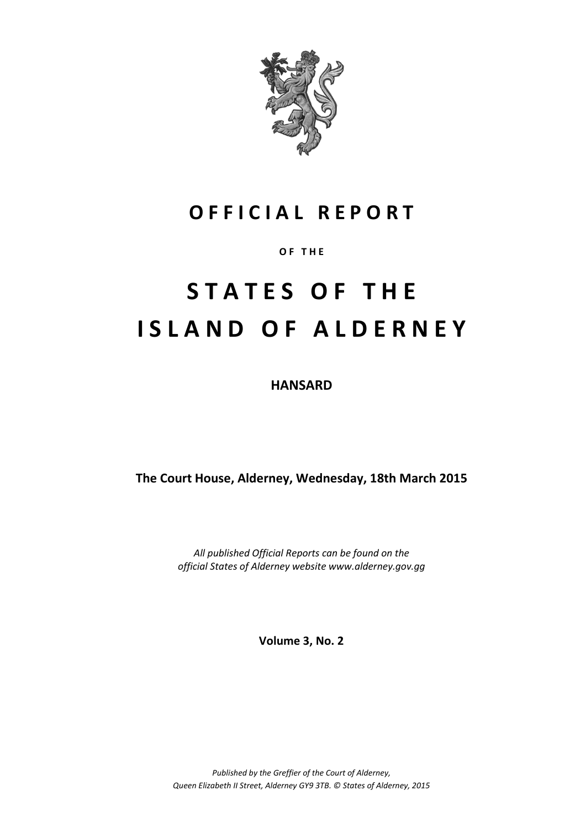

### **O F F I C I A L R E P O R T**

#### **O F T H E**

# **S T A T E S O F T H E I S L A N D O F A L D E R N E Y**

**HANSARD**

**The Court House, Alderney, Wednesday, 18th March 2015**

*All published Official Reports can be found on the official States of Alderney website www.alderney.gov.gg*

**Volume 3, No. 2**

*Published by the Greffier of the Court of Alderney, Queen Elizabeth II Street, Alderney GY9 3TB. © States of Alderney, 2015*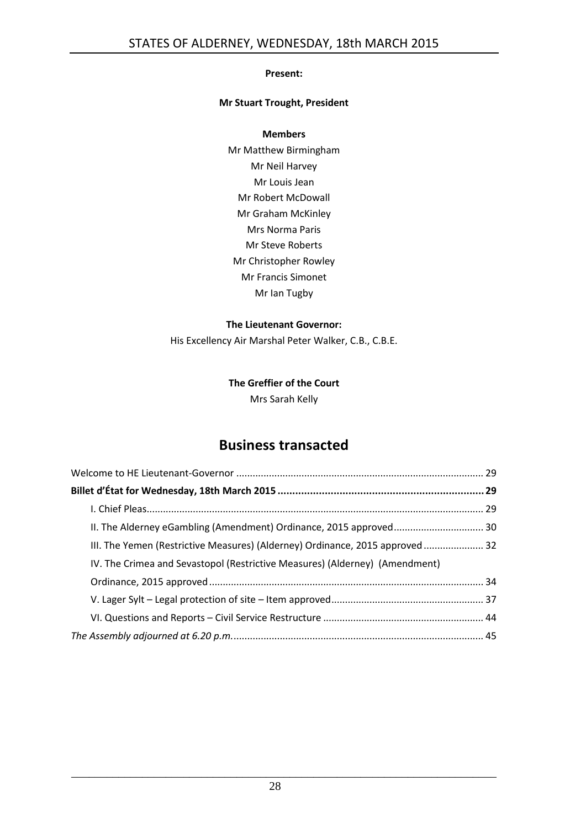#### **Present:**

#### **Mr Stuart Trought, President**

#### **Members**

Mr Matthew Birmingham Mr Neil Harvey Mr Louis Jean Mr Robert McDowall Mr Graham McKinley Mrs Norma Paris Mr Steve Roberts Mr Christopher Rowley Mr Francis Simonet Mr Ian Tugby

#### **The Lieutenant Governor:**

His Excellency Air Marshal Peter Walker, C.B., C.B.E.

### **The Greffier of the Court** Mrs Sarah Kelly

### **Business transacted**

| II. The Alderney eGambling (Amendment) Ordinance, 2015 approved 30            |  |
|-------------------------------------------------------------------------------|--|
| III. The Yemen (Restrictive Measures) (Alderney) Ordinance, 2015 approved  32 |  |
| IV. The Crimea and Sevastopol (Restrictive Measures) (Alderney) (Amendment)   |  |
|                                                                               |  |
|                                                                               |  |
|                                                                               |  |
|                                                                               |  |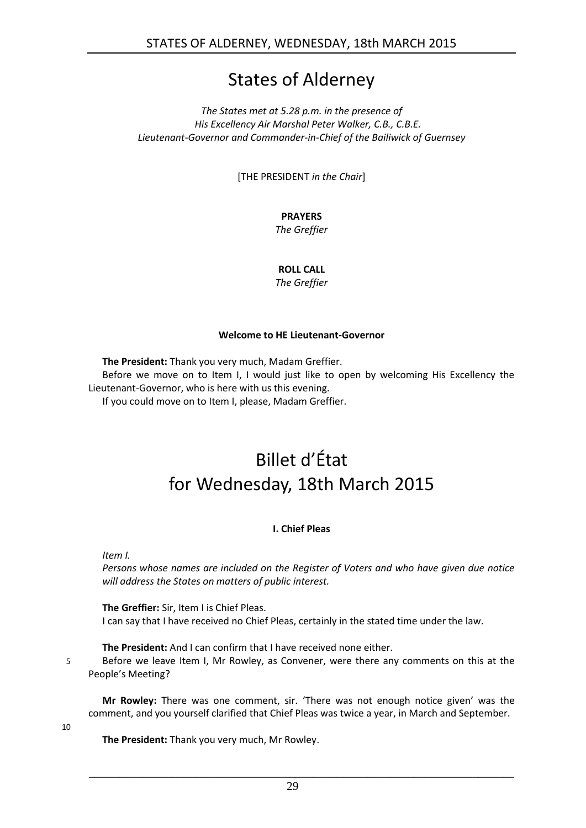### States of Alderney

*The States met at 5.28 p.m. in the presence of His Excellency Air Marshal Peter Walker, C.B., C.B.E. Lieutenant-Governor and Commander-in-Chief of the Bailiwick of Guernsey*

[THE PRESIDENT *in the Chair*]

#### **PRAYERS**

*The Greffier*

#### **ROLL CALL**

*The Greffier*

#### **Welcome to HE Lieutenant-Governor**

<span id="page-2-0"></span>**The President:** Thank you very much, Madam Greffier.

Before we move on to Item I, I would just like to open by welcoming His Excellency the Lieutenant-Governor, who is here with us this evening.

<span id="page-2-1"></span>If you could move on to Item I, please, Madam Greffier.

## Billet d'État for Wednesday, 18th March 2015

#### **I. Chief Pleas**

<span id="page-2-2"></span>*Item I.*

*Persons whose names are included on the Register of Voters and who have given due notice will address the States on matters of public interest.*

**The Greffier:** Sir, Item I is Chief Pleas. I can say that I have received no Chief Pleas, certainly in the stated time under the law.

**The President:** And I can confirm that I have received none either.

5 Before we leave Item I, Mr Rowley, as Convener, were there any comments on this at the People's Meeting?

**Mr Rowley:** There was one comment, sir. 'There was not enough notice given' was the comment, and you yourself clarified that Chief Pleas was twice a year, in March and September.

10

**The President:** Thank you very much, Mr Rowley.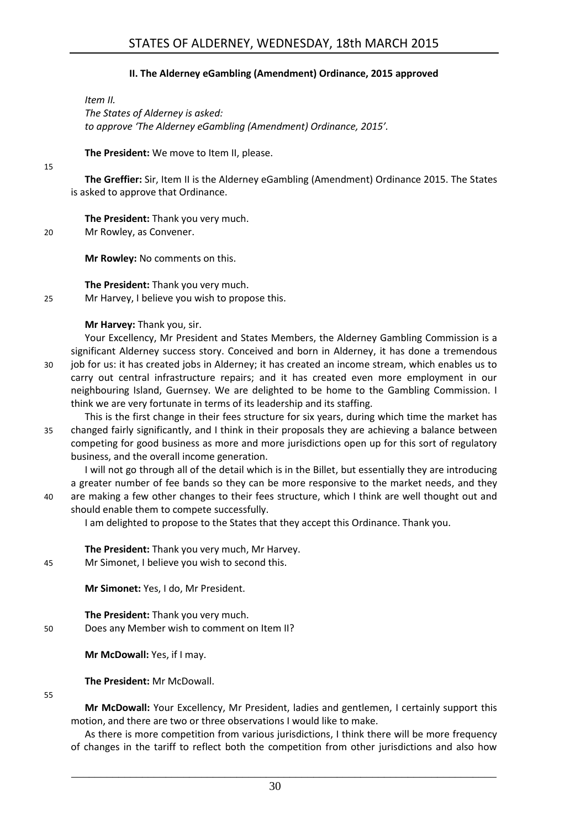#### **II. The Alderney eGambling (Amendment) Ordinance, 2015 approved**

<span id="page-3-0"></span>*Item II. The States of Alderney is asked: to approve 'The Alderney eGambling (Amendment) Ordinance, 2015'.*

**The President:** We move to Item II, please.

#### 15

**The Greffier:** Sir, Item II is the Alderney eGambling (Amendment) Ordinance 2015. The States is asked to approve that Ordinance.

**The President:** Thank you very much. 20 Mr Rowley, as Convener.

**Mr Rowley:** No comments on this.

**The President:** Thank you very much.

25 Mr Harvey, I believe you wish to propose this.

#### **Mr Harvey:** Thank you, sir.

Your Excellency, Mr President and States Members, the Alderney Gambling Commission is a significant Alderney success story. Conceived and born in Alderney, it has done a tremendous 30 job for us: it has created jobs in Alderney; it has created an income stream, which enables us to carry out central infrastructure repairs; and it has created even more employment in our neighbouring Island, Guernsey. We are delighted to be home to the Gambling Commission. I think we are very fortunate in terms of its leadership and its staffing.

This is the first change in their fees structure for six years, during which time the market has 35 changed fairly significantly, and I think in their proposals they are achieving a balance between competing for good business as more and more jurisdictions open up for this sort of regulatory business, and the overall income generation.

I will not go through all of the detail which is in the Billet, but essentially they are introducing a greater number of fee bands so they can be more responsive to the market needs, and they 40 are making a few other changes to their fees structure, which I think are well thought out and should enable them to compete successfully.

I am delighted to propose to the States that they accept this Ordinance. Thank you.

**The President:** Thank you very much, Mr Harvey. 45 Mr Simonet, I believe you wish to second this.

**Mr Simonet:** Yes, I do, Mr President.

**The President:** Thank you very much. 50 Does any Member wish to comment on Item II?

**Mr McDowall:** Yes, if I may.

**The President:** Mr McDowall.

#### 55

**Mr McDowall:** Your Excellency, Mr President, ladies and gentlemen, I certainly support this motion, and there are two or three observations I would like to make.

As there is more competition from various jurisdictions, I think there will be more frequency of changes in the tariff to reflect both the competition from other jurisdictions and also how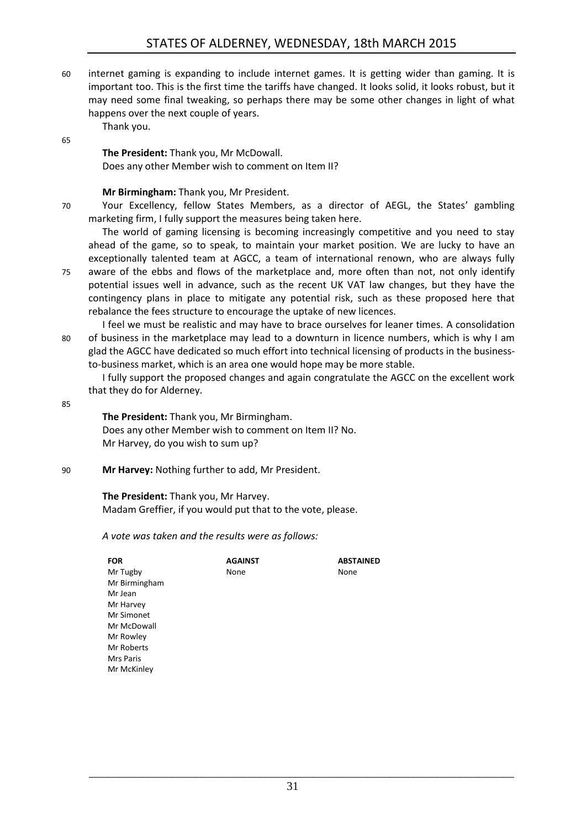60 internet gaming is expanding to include internet games. It is getting wider than gaming. It is important too. This is the first time the tariffs have changed. It looks solid, it looks robust, but it may need some final tweaking, so perhaps there may be some other changes in light of what happens over the next couple of years.

Thank you.

#### 65

**The President:** Thank you, Mr McDowall. Does any other Member wish to comment on Item II?

#### **Mr Birmingham:** Thank you, Mr President.

70 Your Excellency, fellow States Members, as a director of AEGL, the States' gambling marketing firm, I fully support the measures being taken here.

The world of gaming licensing is becoming increasingly competitive and you need to stay ahead of the game, so to speak, to maintain your market position. We are lucky to have an exceptionally talented team at AGCC, a team of international renown, who are always fully 75 aware of the ebbs and flows of the marketplace and, more often than not, not only identify potential issues well in advance, such as the recent UK VAT law changes, but they have the contingency plans in place to mitigate any potential risk, such as these proposed here that rebalance the fees structure to encourage the uptake of new licences.

I feel we must be realistic and may have to brace ourselves for leaner times. A consolidation 80 of business in the marketplace may lead to a downturn in licence numbers, which is why I am glad the AGCC have dedicated so much effort into technical licensing of products in the businessto-business market, which is an area one would hope may be more stable.

I fully support the proposed changes and again congratulate the AGCC on the excellent work that they do for Alderney.

85

**The President:** Thank you, Mr Birmingham. Does any other Member wish to comment on Item II? No. Mr Harvey, do you wish to sum up?

90 **Mr Harvey:** Nothing further to add, Mr President.

**The President:** Thank you, Mr Harvey. Madam Greffier, if you would put that to the vote, please.

*A vote was taken and the results were as follows:*

| <b>FOR</b>    | <b>AGAINST</b> | <b>ABSTAINED</b> |
|---------------|----------------|------------------|
| Mr Tugby      | None           | None             |
| Mr Birmingham |                |                  |
| Mr Jean       |                |                  |
| Mr Harvey     |                |                  |
| Mr Simonet    |                |                  |
| Mr McDowall   |                |                  |
| Mr Rowley     |                |                  |
| Mr Roberts    |                |                  |
| Mrs Paris     |                |                  |
| Mr McKinley   |                |                  |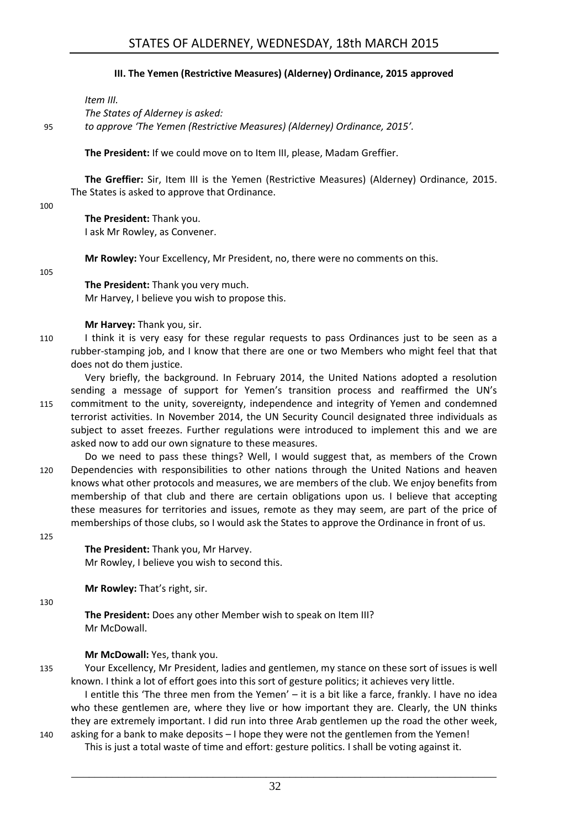#### **III. The Yemen (Restrictive Measures) (Alderney) Ordinance, 2015 approved**

<span id="page-5-0"></span>*Item III.*

*The States of Alderney is asked:*

95 *to approve 'The Yemen (Restrictive Measures) (Alderney) Ordinance, 2015'.*

**The President:** If we could move on to Item III, please, Madam Greffier.

**The Greffier:** Sir, Item III is the Yemen (Restrictive Measures) (Alderney) Ordinance, 2015. The States is asked to approve that Ordinance.

100

**The President:** Thank you. I ask Mr Rowley, as Convener.

**Mr Rowley:** Your Excellency, Mr President, no, there were no comments on this.

105

**The President:** Thank you very much. Mr Harvey, I believe you wish to propose this.

#### **Mr Harvey:** Thank you, sir.

- 110 I think it is very easy for these regular requests to pass Ordinances just to be seen as a rubber-stamping job, and I know that there are one or two Members who might feel that that does not do them justice.
- Very briefly, the background. In February 2014, the United Nations adopted a resolution sending a message of support for Yemen's transition process and reaffirmed the UN's 115 commitment to the unity, sovereignty, independence and integrity of Yemen and condemned terrorist activities. In November 2014, the UN Security Council designated three individuals as subject to asset freezes. Further regulations were introduced to implement this and we are asked now to add our own signature to these measures.
- Do we need to pass these things? Well, I would suggest that, as members of the Crown 120 Dependencies with responsibilities to other nations through the United Nations and heaven knows what other protocols and measures, we are members of the club. We enjoy benefits from membership of that club and there are certain obligations upon us. I believe that accepting these measures for territories and issues, remote as they may seem, are part of the price of memberships of those clubs, so I would ask the States to approve the Ordinance in front of us.
- 125

**The President:** Thank you, Mr Harvey. Mr Rowley, I believe you wish to second this.

**Mr Rowley:** That's right, sir.

130

**The President:** Does any other Member wish to speak on Item III? Mr McDowall.

#### **Mr McDowall:** Yes, thank you.

135 Your Excellency, Mr President, ladies and gentlemen, my stance on these sort of issues is well known. I think a lot of effort goes into this sort of gesture politics; it achieves very little.

I entitle this 'The three men from the Yemen' – it is a bit like a farce, frankly. I have no idea who these gentlemen are, where they live or how important they are. Clearly, the UN thinks they are extremely important. I did run into three Arab gentlemen up the road the other week, 140 asking for a bank to make deposits – I hope they were not the gentlemen from the Yemen!

This is just a total waste of time and effort: gesture politics. I shall be voting against it.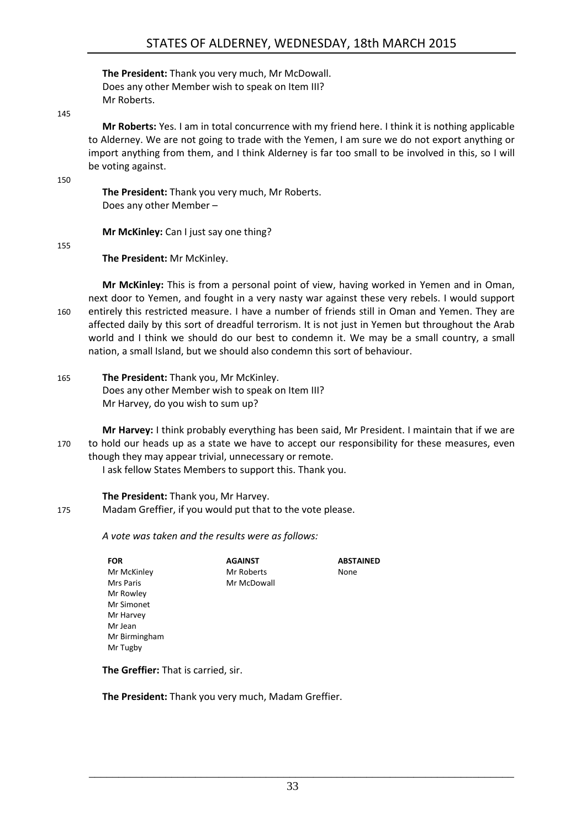**The President:** Thank you very much, Mr McDowall. Does any other Member wish to speak on Item III? Mr Roberts.

145

**Mr Roberts:** Yes. I am in total concurrence with my friend here. I think it is nothing applicable to Alderney. We are not going to trade with the Yemen, I am sure we do not export anything or import anything from them, and I think Alderney is far too small to be involved in this, so I will be voting against.

150

**The President:** Thank you very much, Mr Roberts. Does any other Member –

**Mr McKinley:** Can I just say one thing?

155

**The President:** Mr McKinley.

**Mr McKinley:** This is from a personal point of view, having worked in Yemen and in Oman, next door to Yemen, and fought in a very nasty war against these very rebels. I would support 160 entirely this restricted measure. I have a number of friends still in Oman and Yemen. They are affected daily by this sort of dreadful terrorism. It is not just in Yemen but throughout the Arab world and I think we should do our best to condemn it. We may be a small country, a small nation, a small Island, but we should also condemn this sort of behaviour.

165 **The President:** Thank you, Mr McKinley. Does any other Member wish to speak on Item III? Mr Harvey, do you wish to sum up?

**Mr Harvey:** I think probably everything has been said, Mr President. I maintain that if we are 170 to hold our heads up as a state we have to accept our responsibility for these measures, even though they may appear trivial, unnecessary or remote.

> **ABSTAINED** None

I ask fellow States Members to support this. Thank you.

**AGAINST** Mr Roberts Mr McDowall

**The President:** Thank you, Mr Harvey.

175 Madam Greffier, if you would put that to the vote please.

*A vote was taken and the results were as follows:*

**FOR** Mr McKinley Mrs Paris Mr Rowley Mr Simonet Mr Harvey Mr Jean Mr Birmingham Mr Tugby

**The Greffier:** That is carried, sir.

**The President:** Thank you very much, Madam Greffier.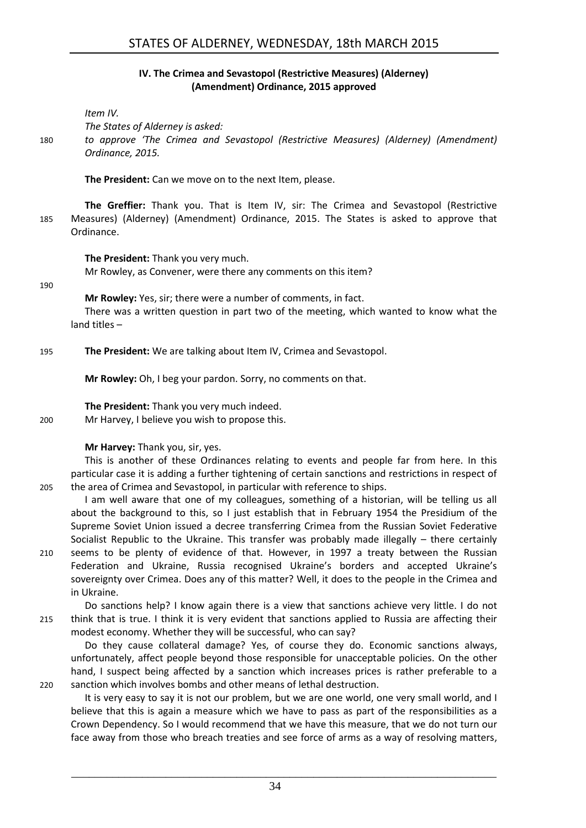#### **IV. The Crimea and Sevastopol (Restrictive Measures) (Alderney) (Amendment) Ordinance, 2015 approved**

<span id="page-7-0"></span>*Item IV.*

*The States of Alderney is asked:*

180 *to approve 'The Crimea and Sevastopol (Restrictive Measures) (Alderney) (Amendment) Ordinance, 2015.*

**The President:** Can we move on to the next Item, please.

**The Greffier:** Thank you. That is Item IV, sir: The Crimea and Sevastopol (Restrictive 185 Measures) (Alderney) (Amendment) Ordinance, 2015. The States is asked to approve that Ordinance.

**The President:** Thank you very much.

Mr Rowley, as Convener, were there any comments on this item?

190

**Mr Rowley:** Yes, sir; there were a number of comments, in fact.

There was a written question in part two of the meeting, which wanted to know what the land titles –

195 **The President:** We are talking about Item IV, Crimea and Sevastopol.

**Mr Rowley:** Oh, I beg your pardon. Sorry, no comments on that.

**The President:** Thank you very much indeed.

200 Mr Harvey, I believe you wish to propose this.

#### **Mr Harvey:** Thank you, sir, yes.

This is another of these Ordinances relating to events and people far from here. In this particular case it is adding a further tightening of certain sanctions and restrictions in respect of 205 the area of Crimea and Sevastopol, in particular with reference to ships.

I am well aware that one of my colleagues, something of a historian, will be telling us all about the background to this, so I just establish that in February 1954 the Presidium of the Supreme Soviet Union issued a decree transferring Crimea from the Russian Soviet Federative Socialist Republic to the Ukraine. This transfer was probably made illegally – there certainly 210 seems to be plenty of evidence of that. However, in 1997 a treaty between the Russian Federation and Ukraine, Russia recognised Ukraine's borders and accepted Ukraine's sovereignty over Crimea. Does any of this matter? Well, it does to the people in the Crimea and in Ukraine.

Do sanctions help? I know again there is a view that sanctions achieve very little. I do not 215 think that is true. I think it is very evident that sanctions applied to Russia are affecting their modest economy. Whether they will be successful, who can say?

Do they cause collateral damage? Yes, of course they do. Economic sanctions always, unfortunately, affect people beyond those responsible for unacceptable policies. On the other hand, I suspect being affected by a sanction which increases prices is rather preferable to a 220 sanction which involves bombs and other means of lethal destruction.

It is very easy to say it is not our problem, but we are one world, one very small world, and I believe that this is again a measure which we have to pass as part of the responsibilities as a Crown Dependency. So I would recommend that we have this measure, that we do not turn our face away from those who breach treaties and see force of arms as a way of resolving matters,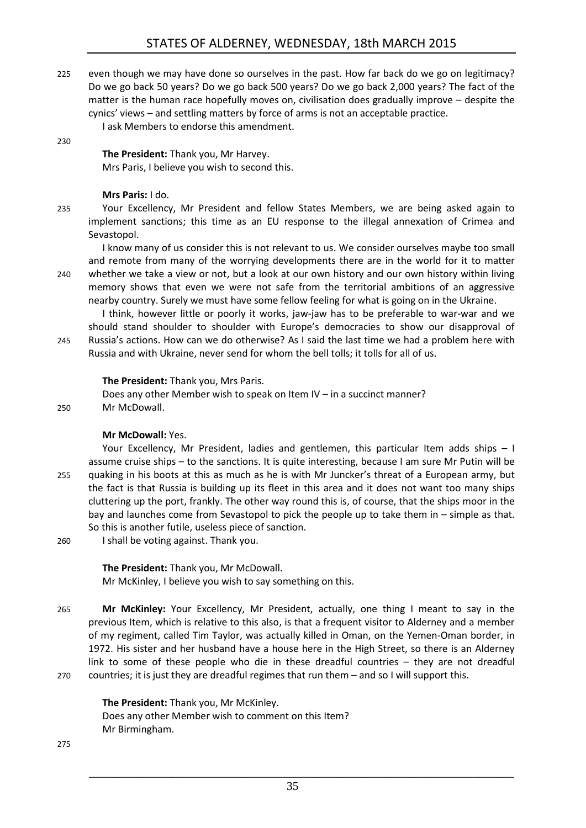225 even though we may have done so ourselves in the past. How far back do we go on legitimacy? Do we go back 50 years? Do we go back 500 years? Do we go back 2,000 years? The fact of the matter is the human race hopefully moves on, civilisation does gradually improve – despite the cynics' views – and settling matters by force of arms is not an acceptable practice.

I ask Members to endorse this amendment.

#### 230

**The President:** Thank you, Mr Harvey. Mrs Paris, I believe you wish to second this.

#### **Mrs Paris:** I do.

235 Your Excellency, Mr President and fellow States Members, we are being asked again to implement sanctions; this time as an EU response to the illegal annexation of Crimea and Sevastopol.

I know many of us consider this is not relevant to us. We consider ourselves maybe too small and remote from many of the worrying developments there are in the world for it to matter 240 whether we take a view or not, but a look at our own history and our own history within living memory shows that even we were not safe from the territorial ambitions of an aggressive nearby country. Surely we must have some fellow feeling for what is going on in the Ukraine.

I think, however little or poorly it works, jaw-jaw has to be preferable to war-war and we should stand shoulder to shoulder with Europe's democracies to show our disapproval of 245 Russia's actions. How can we do otherwise? As I said the last time we had a problem here with Russia and with Ukraine, never send for whom the bell tolls; it tolls for all of us.

#### **The President:** Thank you, Mrs Paris.

Does any other Member wish to speak on Item IV – in a succinct manner? 250 Mr McDowall.

#### **Mr McDowall:** Yes.

Your Excellency, Mr President, ladies and gentlemen, this particular Item adds ships – I assume cruise ships – to the sanctions. It is quite interesting, because I am sure Mr Putin will be 255 quaking in his boots at this as much as he is with Mr Juncker's threat of a European army, but the fact is that Russia is building up its fleet in this area and it does not want too many ships cluttering up the port, frankly. The other way round this is, of course, that the ships moor in the bay and launches come from Sevastopol to pick the people up to take them in – simple as that. So this is another futile, useless piece of sanction.

260 I shall be voting against. Thank you.

#### **The President:** Thank you, Mr McDowall.

Mr McKinley, I believe you wish to say something on this.

265 **Mr McKinley:** Your Excellency, Mr President, actually, one thing I meant to say in the previous Item, which is relative to this also, is that a frequent visitor to Alderney and a member of my regiment, called Tim Taylor, was actually killed in Oman, on the Yemen-Oman border, in 1972. His sister and her husband have a house here in the High Street, so there is an Alderney link to some of these people who die in these dreadful countries – they are not dreadful 270 countries; it is just they are dreadful regimes that run them – and so I will support this.

**The President:** Thank you, Mr McKinley. Does any other Member wish to comment on this Item? Mr Birmingham.

275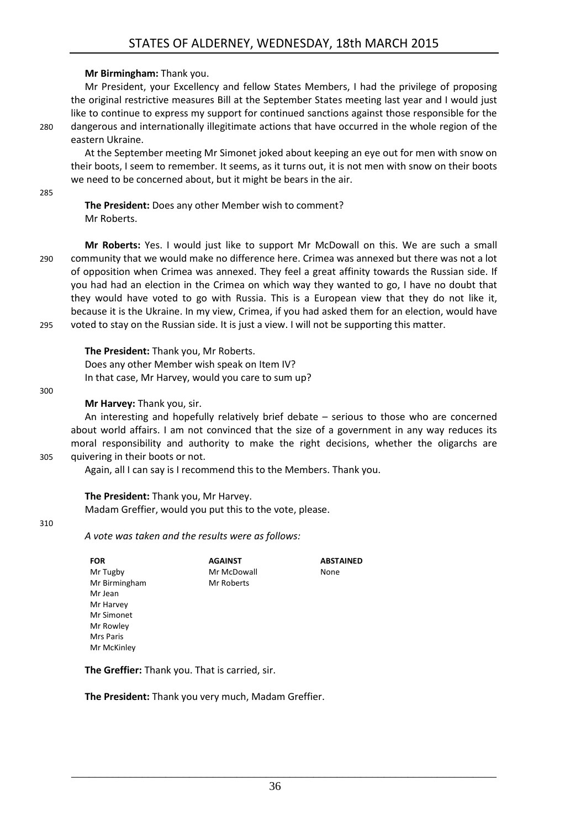#### **Mr Birmingham:** Thank you.

Mr President, your Excellency and fellow States Members, I had the privilege of proposing the original restrictive measures Bill at the September States meeting last year and I would just like to continue to express my support for continued sanctions against those responsible for the 280 dangerous and internationally illegitimate actions that have occurred in the whole region of the eastern Ukraine.

At the September meeting Mr Simonet joked about keeping an eye out for men with snow on their boots, I seem to remember. It seems, as it turns out, it is not men with snow on their boots we need to be concerned about, but it might be bears in the air.

285

**The President:** Does any other Member wish to comment? Mr Roberts.

**Mr Roberts:** Yes. I would just like to support Mr McDowall on this. We are such a small 290 community that we would make no difference here. Crimea was annexed but there was not a lot of opposition when Crimea was annexed. They feel a great affinity towards the Russian side. If you had had an election in the Crimea on which way they wanted to go, I have no doubt that they would have voted to go with Russia. This is a European view that they do not like it, because it is the Ukraine. In my view, Crimea, if you had asked them for an election, would have 295 voted to stay on the Russian side. It is just a view. I will not be supporting this matter.

**The President:** Thank you, Mr Roberts.

Does any other Member wish speak on Item IV? In that case, Mr Harvey, would you care to sum up?

#### 300

#### **Mr Harvey:** Thank you, sir.

An interesting and hopefully relatively brief debate – serious to those who are concerned about world affairs. I am not convinced that the size of a government in any way reduces its moral responsibility and authority to make the right decisions, whether the oligarchs are 305 quivering in their boots or not.

> **ABSTAINED** None

Again, all I can say is I recommend this to the Members. Thank you.

**AGAINST** Mr McDowall Mr Roberts

#### **The President:** Thank you, Mr Harvey.

Madam Greffier, would you put this to the vote, please.

#### 310

*A vote was taken and the results were as follows:*

| ruĸ           |
|---------------|
| Mr Tugby      |
| Mr Birmingham |
| Mr Jean       |
| Mr Harvey     |
| Mr Simonet    |
| Mr Rowley     |
| Mrs Paris     |
| Mr McKinley   |
|               |

**FOR**

**The Greffier:** Thank you. That is carried, sir.

**The President:** Thank you very much, Madam Greffier.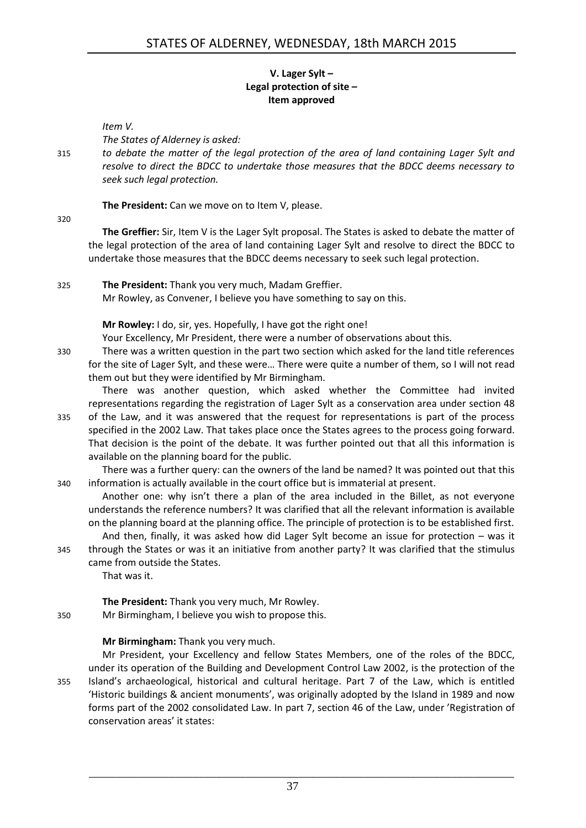#### **V. Lager Sylt – Legal protection of site – Item approved**

<span id="page-10-0"></span>*Item V.*

*The States of Alderney is asked:*

315 *to debate the matter of the legal protection of the area of land containing Lager Sylt and resolve to direct the BDCC to undertake those measures that the BDCC deems necessary to seek such legal protection.*

**The President:** Can we move on to Item V, please.

320

**The Greffier:** Sir, Item V is the Lager Sylt proposal. The States is asked to debate the matter of the legal protection of the area of land containing Lager Sylt and resolve to direct the BDCC to undertake those measures that the BDCC deems necessary to seek such legal protection.

325 **The President:** Thank you very much, Madam Greffier.

Mr Rowley, as Convener, I believe you have something to say on this.

**Mr Rowley:** I do, sir, yes. Hopefully, I have got the right one!

Your Excellency, Mr President, there were a number of observations about this.

330 There was a written question in the part two section which asked for the land title references for the site of Lager Sylt, and these were… There were quite a number of them, so I will not read them out but they were identified by Mr Birmingham.

There was another question, which asked whether the Committee had invited representations regarding the registration of Lager Sylt as a conservation area under section 48 335 of the Law, and it was answered that the request for representations is part of the process specified in the 2002 Law. That takes place once the States agrees to the process going forward. That decision is the point of the debate. It was further pointed out that all this information is available on the planning board for the public.

There was a further query: can the owners of the land be named? It was pointed out that this 340 information is actually available in the court office but is immaterial at present.

Another one: why isn't there a plan of the area included in the Billet, as not everyone understands the reference numbers? It was clarified that all the relevant information is available on the planning board at the planning office. The principle of protection is to be established first.

And then, finally, it was asked how did Lager Sylt become an issue for protection – was it 345 through the States or was it an initiative from another party? It was clarified that the stimulus came from outside the States.

That was it.

**The President:** Thank you very much, Mr Rowley.

350 Mr Birmingham, I believe you wish to propose this.

#### **Mr Birmingham:** Thank you very much.

Mr President, your Excellency and fellow States Members, one of the roles of the BDCC, under its operation of the Building and Development Control Law 2002, is the protection of the 355 Island's archaeological, historical and cultural heritage. Part 7 of the Law, which is entitled 'Historic buildings & ancient monuments', was originally adopted by the Island in 1989 and now forms part of the 2002 consolidated Law. In part 7, section 46 of the Law, under 'Registration of conservation areas' it states: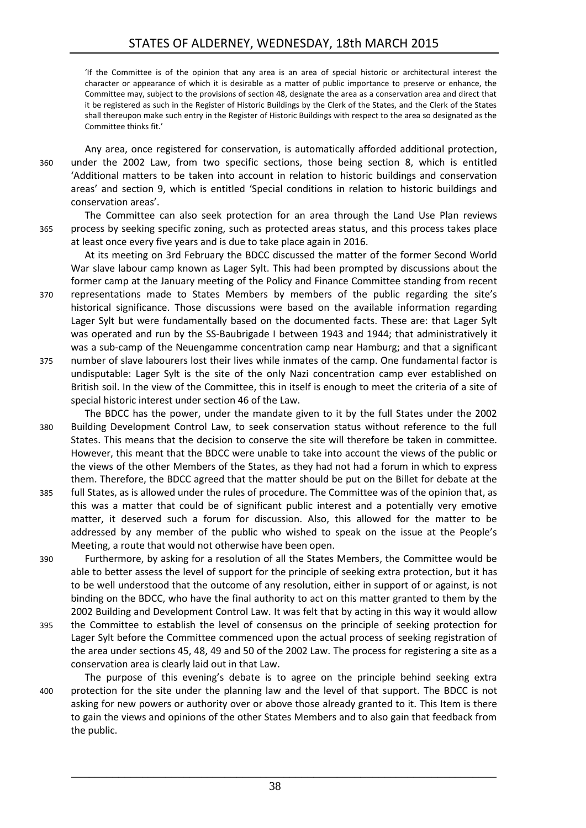'If the Committee is of the opinion that any area is an area of special historic or architectural interest the character or appearance of which it is desirable as a matter of public importance to preserve or enhance, the Committee may, subject to the provisions of section 48, designate the area as a conservation area and direct that it be registered as such in the Register of Historic Buildings by the Clerk of the States, and the Clerk of the States shall thereupon make such entry in the Register of Historic Buildings with respect to the area so designated as the Committee thinks fit.'

Any area, once registered for conservation, is automatically afforded additional protection, 360 under the 2002 Law, from two specific sections, those being section 8, which is entitled 'Additional matters to be taken into account in relation to historic buildings and conservation areas' and section 9, which is entitled 'Special conditions in relation to historic buildings and conservation areas'.

The Committee can also seek protection for an area through the Land Use Plan reviews 365 process by seeking specific zoning, such as protected areas status, and this process takes place at least once every five years and is due to take place again in 2016.

At its meeting on 3rd February the BDCC discussed the matter of the former Second World War slave labour camp known as Lager Sylt. This had been prompted by discussions about the former camp at the January meeting of the Policy and Finance Committee standing from recent

- 370 representations made to States Members by members of the public regarding the site's historical significance. Those discussions were based on the available information regarding Lager Sylt but were fundamentally based on the documented facts. These are: that Lager Sylt was operated and run by the SS-Baubrigade I between 1943 and 1944; that administratively it was a sub-camp of the Neuengamme concentration camp near Hamburg; and that a significant
- 375 number of slave labourers lost their lives while inmates of the camp. One fundamental factor is undisputable: Lager Sylt is the site of the only Nazi concentration camp ever established on British soil. In the view of the Committee, this in itself is enough to meet the criteria of a site of special historic interest under section 46 of the Law.
- The BDCC has the power, under the mandate given to it by the full States under the 2002 380 Building Development Control Law, to seek conservation status without reference to the full States. This means that the decision to conserve the site will therefore be taken in committee. However, this meant that the BDCC were unable to take into account the views of the public or the views of the other Members of the States, as they had not had a forum in which to express them. Therefore, the BDCC agreed that the matter should be put on the Billet for debate at the
- 385 full States, as is allowed under the rules of procedure. The Committee was of the opinion that, as this was a matter that could be of significant public interest and a potentially very emotive matter, it deserved such a forum for discussion. Also, this allowed for the matter to be addressed by any member of the public who wished to speak on the issue at the People's Meeting, a route that would not otherwise have been open.
- 390 Furthermore, by asking for a resolution of all the States Members, the Committee would be able to better assess the level of support for the principle of seeking extra protection, but it has to be well understood that the outcome of any resolution, either in support of or against, is not binding on the BDCC, who have the final authority to act on this matter granted to them by the 2002 Building and Development Control Law. It was felt that by acting in this way it would allow
- 395 the Committee to establish the level of consensus on the principle of seeking protection for Lager Sylt before the Committee commenced upon the actual process of seeking registration of the area under sections 45, 48, 49 and 50 of the 2002 Law. The process for registering a site as a conservation area is clearly laid out in that Law.
- The purpose of this evening's debate is to agree on the principle behind seeking extra 400 protection for the site under the planning law and the level of that support. The BDCC is not asking for new powers or authority over or above those already granted to it. This Item is there to gain the views and opinions of the other States Members and to also gain that feedback from the public.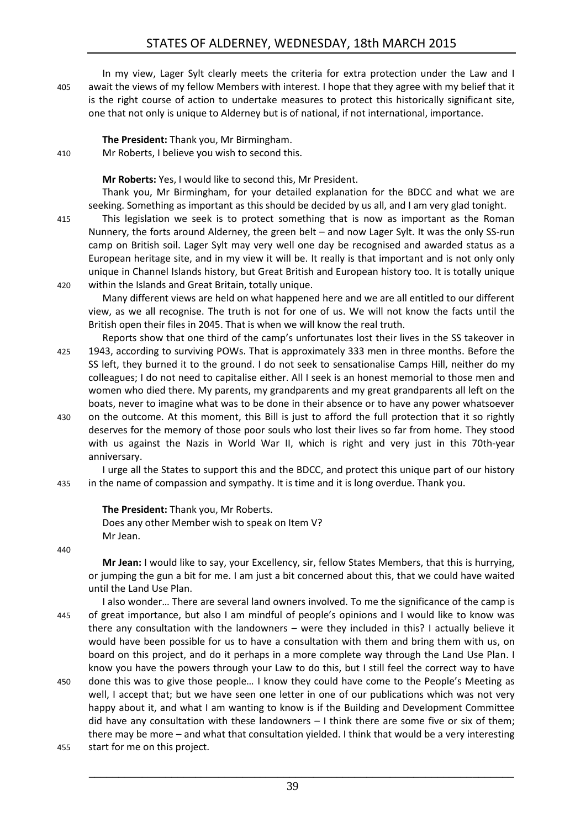#### STATES OF ALDERNEY, WEDNESDAY, 18th MARCH 2015

In my view, Lager Sylt clearly meets the criteria for extra protection under the Law and I 405 await the views of my fellow Members with interest. I hope that they agree with my belief that it is the right course of action to undertake measures to protect this historically significant site, one that not only is unique to Alderney but is of national, if not international, importance.

**The President:** Thank you, Mr Birmingham.

410 Mr Roberts, I believe you wish to second this.

**Mr Roberts:** Yes, I would like to second this, Mr President.

Thank you, Mr Birmingham, for your detailed explanation for the BDCC and what we are seeking. Something as important as this should be decided by us all, and I am very glad tonight.

415 This legislation we seek is to protect something that is now as important as the Roman Nunnery, the forts around Alderney, the green belt – and now Lager Sylt. It was the only SS-run camp on British soil. Lager Sylt may very well one day be recognised and awarded status as a European heritage site, and in my view it will be. It really is that important and is not only only unique in Channel Islands history, but Great British and European history too. It is totally unique 420 within the Islands and Great Britain, totally unique.

Many different views are held on what happened here and we are all entitled to our different view, as we all recognise. The truth is not for one of us. We will not know the facts until the British open their files in 2045. That is when we will know the real truth.

- Reports show that one third of the camp's unfortunates lost their lives in the SS takeover in 425 1943, according to surviving POWs. That is approximately 333 men in three months. Before the SS left, they burned it to the ground. I do not seek to sensationalise Camps Hill, neither do my colleagues; I do not need to capitalise either. All I seek is an honest memorial to those men and women who died there. My parents, my grandparents and my great grandparents all left on the boats, never to imagine what was to be done in their absence or to have any power whatsoever
- 430 on the outcome. At this moment, this Bill is just to afford the full protection that it so rightly deserves for the memory of those poor souls who lost their lives so far from home. They stood with us against the Nazis in World War II, which is right and very just in this 70th-year anniversary.

I urge all the States to support this and the BDCC, and protect this unique part of our history 435 in the name of compassion and sympathy. It is time and it is long overdue. Thank you.

#### **The President:** Thank you, Mr Roberts.

Does any other Member wish to speak on Item V? Mr Jean.

440

**Mr Jean:** I would like to say, your Excellency, sir, fellow States Members, that this is hurrying, or jumping the gun a bit for me. I am just a bit concerned about this, that we could have waited until the Land Use Plan.

- I also wonder… There are several land owners involved. To me the significance of the camp is 445 of great importance, but also I am mindful of people's opinions and I would like to know was there any consultation with the landowners – were they included in this? I actually believe it would have been possible for us to have a consultation with them and bring them with us, on board on this project, and do it perhaps in a more complete way through the Land Use Plan. I know you have the powers through your Law to do this, but I still feel the correct way to have
- 450 done this was to give those people… I know they could have come to the People's Meeting as well, I accept that; but we have seen one letter in one of our publications which was not very happy about it, and what I am wanting to know is if the Building and Development Committee did have any consultation with these landowners  $-1$  think there are some five or six of them; there may be more – and what that consultation yielded. I think that would be a very interesting 455 start for me on this project.
	- 39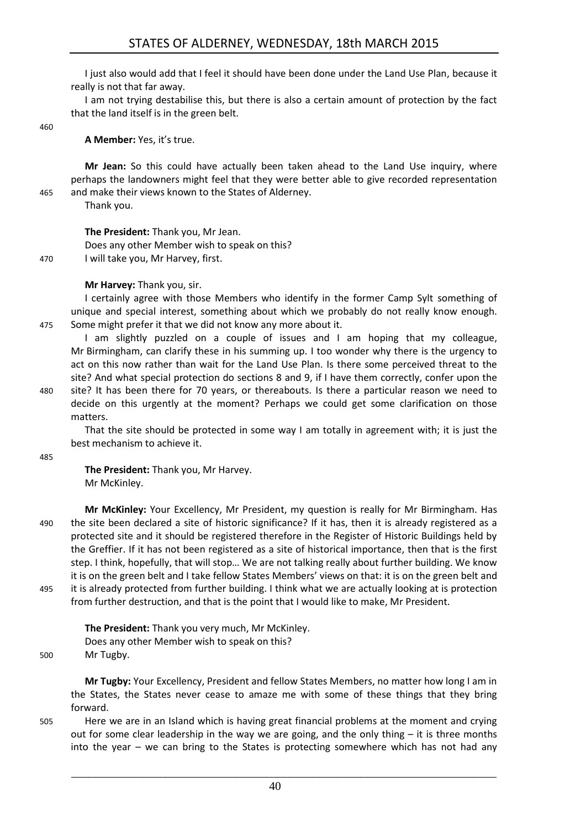I just also would add that I feel it should have been done under the Land Use Plan, because it really is not that far away.

I am not trying destabilise this, but there is also a certain amount of protection by the fact that the land itself is in the green belt.

460

**A Member:** Yes, it's true.

**Mr Jean:** So this could have actually been taken ahead to the Land Use inquiry, where perhaps the landowners might feel that they were better able to give recorded representation 465 and make their views known to the States of Alderney.

Thank you.

**The President:** Thank you, Mr Jean. Does any other Member wish to speak on this? 470 I will take you, Mr Harvey, first.

**Mr Harvey:** Thank you, sir.

I certainly agree with those Members who identify in the former Camp Sylt something of unique and special interest, something about which we probably do not really know enough. 475 Some might prefer it that we did not know any more about it.

I am slightly puzzled on a couple of issues and I am hoping that my colleague, Mr Birmingham, can clarify these in his summing up. I too wonder why there is the urgency to act on this now rather than wait for the Land Use Plan. Is there some perceived threat to the site? And what special protection do sections 8 and 9, if I have them correctly, confer upon the

480 site? It has been there for 70 years, or thereabouts. Is there a particular reason we need to decide on this urgently at the moment? Perhaps we could get some clarification on those matters.

That the site should be protected in some way I am totally in agreement with; it is just the best mechanism to achieve it.

485

**The President:** Thank you, Mr Harvey. Mr McKinley.

**Mr McKinley:** Your Excellency, Mr President, my question is really for Mr Birmingham. Has 490 the site been declared a site of historic significance? If it has, then it is already registered as a protected site and it should be registered therefore in the Register of Historic Buildings held by the Greffier. If it has not been registered as a site of historical importance, then that is the first step. I think, hopefully, that will stop… We are not talking really about further building. We know it is on the green belt and I take fellow States Members' views on that: it is on the green belt and 495 it is already protected from further building. I think what we are actually looking at is protection from further destruction, and that is the point that I would like to make, Mr President.

**The President:** Thank you very much, Mr McKinley. Does any other Member wish to speak on this?

500 Mr Tugby.

**Mr Tugby:** Your Excellency, President and fellow States Members, no matter how long I am in the States, the States never cease to amaze me with some of these things that they bring forward.

505 Here we are in an Island which is having great financial problems at the moment and crying out for some clear leadership in the way we are going, and the only thing  $-$  it is three months into the year – we can bring to the States is protecting somewhere which has not had any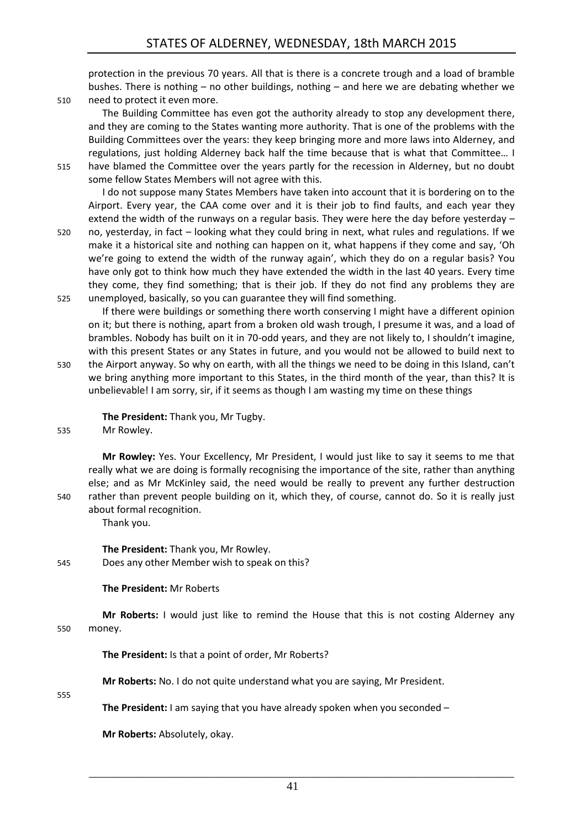protection in the previous 70 years. All that is there is a concrete trough and a load of bramble bushes. There is nothing – no other buildings, nothing – and here we are debating whether we

510 need to protect it even more.

The Building Committee has even got the authority already to stop any development there, and they are coming to the States wanting more authority. That is one of the problems with the Building Committees over the years: they keep bringing more and more laws into Alderney, and regulations, just holding Alderney back half the time because that is what that Committee… I 515 have blamed the Committee over the years partly for the recession in Alderney, but no doubt

some fellow States Members will not agree with this.

I do not suppose many States Members have taken into account that it is bordering on to the Airport. Every year, the CAA come over and it is their job to find faults, and each year they extend the width of the runways on a regular basis. They were here the day before yesterday –

520 no, yesterday, in fact – looking what they could bring in next, what rules and regulations. If we make it a historical site and nothing can happen on it, what happens if they come and say, 'Oh we're going to extend the width of the runway again', which they do on a regular basis? You have only got to think how much they have extended the width in the last 40 years. Every time they come, they find something; that is their job. If they do not find any problems they are 525 unemployed, basically, so you can guarantee they will find something.

If there were buildings or something there worth conserving I might have a different opinion on it; but there is nothing, apart from a broken old wash trough, I presume it was, and a load of brambles. Nobody has built on it in 70-odd years, and they are not likely to, I shouldn't imagine, with this present States or any States in future, and you would not be allowed to build next to

530 the Airport anyway. So why on earth, with all the things we need to be doing in this Island, can't we bring anything more important to this States, in the third month of the year, than this? It is unbelievable! I am sorry, sir, if it seems as though I am wasting my time on these things

**The President:** Thank you, Mr Tugby.

535 Mr Rowley.

**Mr Rowley:** Yes. Your Excellency, Mr President, I would just like to say it seems to me that really what we are doing is formally recognising the importance of the site, rather than anything else; and as Mr McKinley said, the need would be really to prevent any further destruction 540 rather than prevent people building on it, which they, of course, cannot do. So it is really just about formal recognition.

Thank you.

**The President:** Thank you, Mr Rowley. 545 Does any other Member wish to speak on this?

#### **The President:** Mr Roberts

**Mr Roberts:** I would just like to remind the House that this is not costing Alderney any 550 money.

**The President:** Is that a point of order, Mr Roberts?

**Mr Roberts:** No. I do not quite understand what you are saying, Mr President.

555

**The President:** I am saying that you have already spoken when you seconded –

**Mr Roberts:** Absolutely, okay.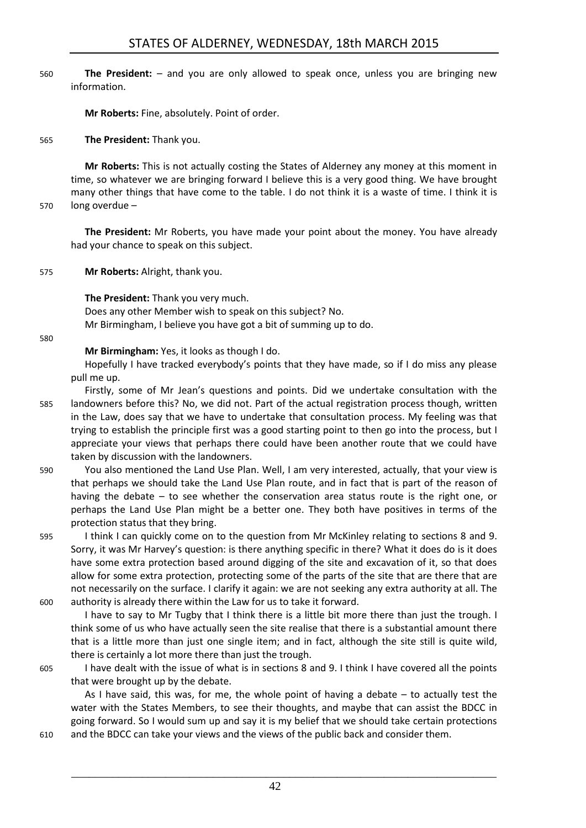560 **The President:** – and you are only allowed to speak once, unless you are bringing new information.

**Mr Roberts:** Fine, absolutely. Point of order.

565 **The President:** Thank you.

**Mr Roberts:** This is not actually costing the States of Alderney any money at this moment in time, so whatever we are bringing forward I believe this is a very good thing. We have brought many other things that have come to the table. I do not think it is a waste of time. I think it is

570 long overdue –

**The President:** Mr Roberts, you have made your point about the money. You have already had your chance to speak on this subject.

575 **Mr Roberts:** Alright, thank you.

**The President:** Thank you very much. Does any other Member wish to speak on this subject? No. Mr Birmingham, I believe you have got a bit of summing up to do.

580

**Mr Birmingham:** Yes, it looks as though I do.

Hopefully I have tracked everybody's points that they have made, so if I do miss any please pull me up.

- Firstly, some of Mr Jean's questions and points. Did we undertake consultation with the 585 landowners before this? No, we did not. Part of the actual registration process though, written in the Law, does say that we have to undertake that consultation process. My feeling was that trying to establish the principle first was a good starting point to then go into the process, but I appreciate your views that perhaps there could have been another route that we could have taken by discussion with the landowners.
- 590 You also mentioned the Land Use Plan. Well, I am very interested, actually, that your view is that perhaps we should take the Land Use Plan route, and in fact that is part of the reason of having the debate – to see whether the conservation area status route is the right one, or perhaps the Land Use Plan might be a better one. They both have positives in terms of the protection status that they bring.
- 595 I think I can quickly come on to the question from Mr McKinley relating to sections 8 and 9. Sorry, it was Mr Harvey's question: is there anything specific in there? What it does do is it does have some extra protection based around digging of the site and excavation of it, so that does allow for some extra protection, protecting some of the parts of the site that are there that are not necessarily on the surface. I clarify it again: we are not seeking any extra authority at all. The 600 authority is already there within the Law for us to take it forward.

I have to say to Mr Tugby that I think there is a little bit more there than just the trough. I think some of us who have actually seen the site realise that there is a substantial amount there that is a little more than just one single item; and in fact, although the site still is quite wild, there is certainly a lot more there than just the trough.

605 I have dealt with the issue of what is in sections 8 and 9. I think I have covered all the points that were brought up by the debate.

As I have said, this was, for me, the whole point of having a debate – to actually test the water with the States Members, to see their thoughts, and maybe that can assist the BDCC in going forward. So I would sum up and say it is my belief that we should take certain protections 610 and the BDCC can take your views and the views of the public back and consider them.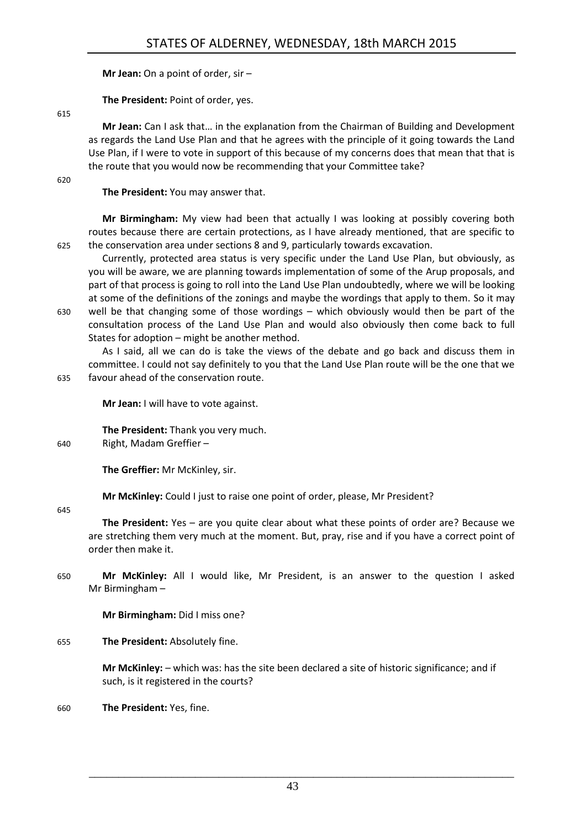**Mr Jean:** On a point of order, sir –

**The President:** Point of order, yes.

615

**Mr Jean:** Can I ask that… in the explanation from the Chairman of Building and Development as regards the Land Use Plan and that he agrees with the principle of it going towards the Land Use Plan, if I were to vote in support of this because of my concerns does that mean that that is the route that you would now be recommending that your Committee take?

620

**The President:** You may answer that.

**Mr Birmingham:** My view had been that actually I was looking at possibly covering both routes because there are certain protections, as I have already mentioned, that are specific to 625 the conservation area under sections 8 and 9, particularly towards excavation.

Currently, protected area status is very specific under the Land Use Plan, but obviously, as you will be aware, we are planning towards implementation of some of the Arup proposals, and part of that process is going to roll into the Land Use Plan undoubtedly, where we will be looking at some of the definitions of the zonings and maybe the wordings that apply to them. So it may 630 well be that changing some of those wordings – which obviously would then be part of the consultation process of the Land Use Plan and would also obviously then come back to full States for adoption – might be another method.

As I said, all we can do is take the views of the debate and go back and discuss them in committee. I could not say definitely to you that the Land Use Plan route will be the one that we 635 favour ahead of the conservation route.

**Mr Jean:** I will have to vote against.

**The President:** Thank you very much.

640 Right, Madam Greffier –

**The Greffier:** Mr McKinley, sir.

**Mr McKinley:** Could I just to raise one point of order, please, Mr President?

645

**The President:** Yes – are you quite clear about what these points of order are? Because we are stretching them very much at the moment. But, pray, rise and if you have a correct point of order then make it.

650 **Mr McKinley:** All I would like, Mr President, is an answer to the question I asked Mr Birmingham –

**Mr Birmingham:** Did I miss one?

655 **The President:** Absolutely fine.

**Mr McKinley:** – which was: has the site been declared a site of historic significance; and if such, is it registered in the courts?

660 **The President:** Yes, fine.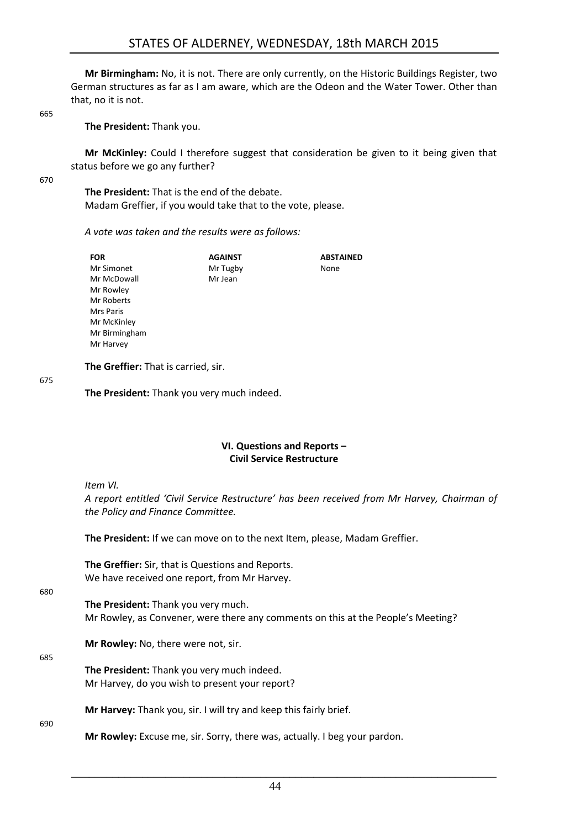**Mr Birmingham:** No, it is not. There are only currently, on the Historic Buildings Register, two German structures as far as I am aware, which are the Odeon and the Water Tower. Other than that, no it is not.

665

**The President:** Thank you.

**Mr McKinley:** Could I therefore suggest that consideration be given to it being given that status before we go any further?

670

**The President:** That is the end of the debate. Madam Greffier, if you would take that to the vote, please.

#### *A vote was taken and the results were as follows:*

| <b>FOR</b>       | <b>AGAINST</b> | <b>ABSTAINED</b> |
|------------------|----------------|------------------|
| Mr Simonet       | Mr Tugby       | None             |
| Mr McDowall      | Mr Jean        |                  |
| Mr Rowley        |                |                  |
| Mr Roberts       |                |                  |
| <b>Mrs Paris</b> |                |                  |
| Mr McKinley      |                |                  |
| Mr Birmingham    |                |                  |
| Mr Harvey        |                |                  |

**The Greffier:** That is carried, sir.

675

**The President:** Thank you very much indeed.

#### **VI. Questions and Reports – Civil Service Restructure**

<span id="page-17-0"></span>*Item VI.*

*A report entitled 'Civil Service Restructure' has been received from Mr Harvey, Chairman of the Policy and Finance Committee.*

**The President:** If we can move on to the next Item, please, Madam Greffier.

**The Greffier:** Sir, that is Questions and Reports. We have received one report, from Mr Harvey.

680

**The President:** Thank you very much. Mr Rowley, as Convener, were there any comments on this at the People's Meeting?

**Mr Rowley:** No, there were not, sir.

685

**The President:** Thank you very much indeed. Mr Harvey, do you wish to present your report?

**Mr Harvey:** Thank you, sir. I will try and keep this fairly brief.

690

**Mr Rowley:** Excuse me, sir. Sorry, there was, actually. I beg your pardon.